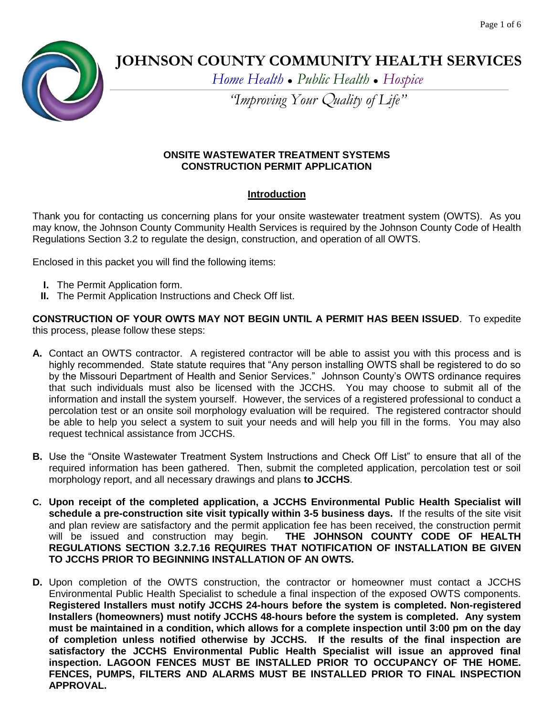

# **JOHNSON COUNTY COMMUNITY HEALTH SERVICES**

*Home Health ● Public Health ● Hospice*

*"Improving Your* Q*uality of Life"*

### **ONSITE WASTEWATER TREATMENT SYSTEMS CONSTRUCTION PERMIT APPLICATION**

# **Introduction**

Thank you for contacting us concerning plans for your onsite wastewater treatment system (OWTS). As you may know, the Johnson County Community Health Services is required by the Johnson County Code of Health Regulations Section 3.2 to regulate the design, construction, and operation of all OWTS.

Enclosed in this packet you will find the following items:

- **I.** The Permit Application form.
- **II.** The Permit Application Instructions and Check Off list.

**CONSTRUCTION OF YOUR OWTS MAY NOT BEGIN UNTIL A PERMIT HAS BEEN ISSUED**. To expedite this process, please follow these steps:

- **A.** Contact an OWTS contractor. A registered contractor will be able to assist you with this process and is highly recommended. State statute requires that "Any person installing OWTS shall be registered to do so by the Missouri Department of Health and Senior Services." Johnson County's OWTS ordinance requires that such individuals must also be licensed with the JCCHS. You may choose to submit all of the information and install the system yourself. However, the services of a registered professional to conduct a percolation test or an onsite soil morphology evaluation will be required. The registered contractor should be able to help you select a system to suit your needs and will help you fill in the forms. You may also request technical assistance from JCCHS.
- **B.** Use the "Onsite Wastewater Treatment System Instructions and Check Off List" to ensure that all of the required information has been gathered. Then, submit the completed application, percolation test or soil morphology report, and all necessary drawings and plans **to JCCHS**.
- **C. Upon receipt of the completed application, a JCCHS Environmental Public Health Specialist will schedule a pre-construction site visit typically within 3-5 business days.** If the results of the site visit and plan review are satisfactory and the permit application fee has been received, the construction permit will be issued and construction may begin. **THE JOHNSON COUNTY CODE OF HEALTH REGULATIONS SECTION 3.2.7.16 REQUIRES THAT NOTIFICATION OF INSTALLATION BE GIVEN TO JCCHS PRIOR TO BEGINNING INSTALLATION OF AN OWTS.**
- **D.** Upon completion of the OWTS construction, the contractor or homeowner must contact a JCCHS Environmental Public Health Specialist to schedule a final inspection of the exposed OWTS components. **Registered Installers must notify JCCHS 24-hours before the system is completed. Non-registered Installers (homeowners) must notify JCCHS 48-hours before the system is completed. Any system must be maintained in a condition, which allows for a complete inspection until 3:00 pm on the day of completion unless notified otherwise by JCCHS. If the results of the final inspection are satisfactory the JCCHS Environmental Public Health Specialist will issue an approved final inspection. LAGOON FENCES MUST BE INSTALLED PRIOR TO OCCUPANCY OF THE HOME. FENCES, PUMPS, FILTERS AND ALARMS MUST BE INSTALLED PRIOR TO FINAL INSPECTION APPROVAL.**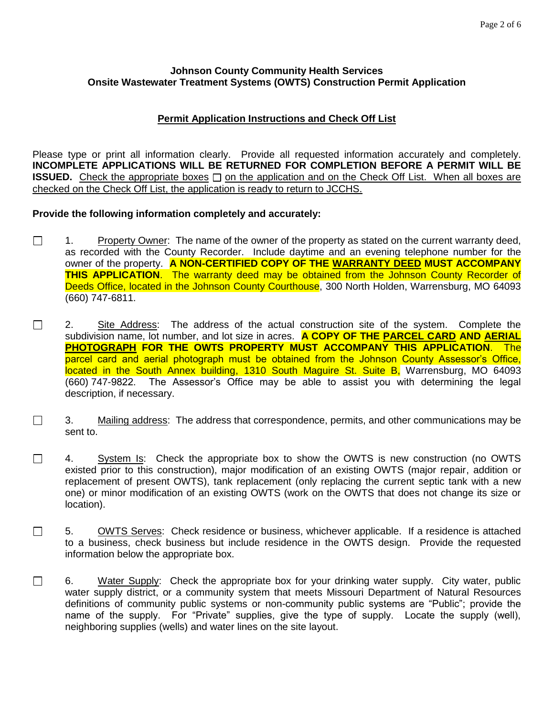#### **Johnson County Community Health Services Onsite Wastewater Treatment Systems (OWTS) Construction Permit Application**

## **Permit Application Instructions and Check Off List**

Please type or print all information clearly. Provide all requested information accurately and completely. **INCOMPLETE APPLICATIONS WILL BE RETURNED FOR COMPLETION BEFORE A PERMIT WILL BE ISSUED.** Check the appropriate boxes  $\Box$  on the application and on the Check Off List. When all boxes are checked on the Check Off List, the application is ready to return to JCCHS.

### **Provide the following information completely and accurately:**

- $\Box$ 1. Property Owner: The name of the owner of the property as stated on the current warranty deed, as recorded with the County Recorder. Include daytime and an evening telephone number for the owner of the property. **A NON-CERTIFIED COPY OF THE WARRANTY DEED MUST ACCOMPANY THIS APPLICATION**. The warranty deed may be obtained from the Johnson County Recorder of Deeds Office, located in the Johnson County Courthouse, 300 North Holden, Warrensburg, MO 64093 (660) 747-6811.
- $\Box$ 2. Site Address: The address of the actual construction site of the system. Complete the subdivision name, lot number, and lot size in acres. **A COPY OF THE PARCEL CARD AND AERIAL PHOTOGRAPH FOR THE OWTS PROPERTY MUST ACCOMPANY THIS APPLICATION**. The parcel card and aerial photograph must be obtained from the Johnson County Assessor's Office, located in the South Annex building, 1310 South Maguire St. Suite B, Warrensburg, MO 64093 (660) 747-9822. The Assessor's Office may be able to assist you with determining the legal description, if necessary.
- $\Box$ 3. Mailing address: The address that correspondence, permits, and other communications may be sent to.
- $\Box$ 4. System Is: Check the appropriate box to show the OWTS is new construction (no OWTS existed prior to this construction), major modification of an existing OWTS (major repair, addition or replacement of present OWTS), tank replacement (only replacing the current septic tank with a new one) or minor modification of an existing OWTS (work on the OWTS that does not change its size or location).
- $\Box$ 5. OWTS Serves: Check residence or business, whichever applicable. If a residence is attached to a business, check business but include residence in the OWTS design. Provide the requested information below the appropriate box.
- $\Box$ 6. Water Supply: Check the appropriate box for your drinking water supply. City water, public water supply district, or a community system that meets Missouri Department of Natural Resources definitions of community public systems or non-community public systems are "Public"; provide the name of the supply. For "Private" supplies, give the type of supply. Locate the supply (well), neighboring supplies (wells) and water lines on the site layout.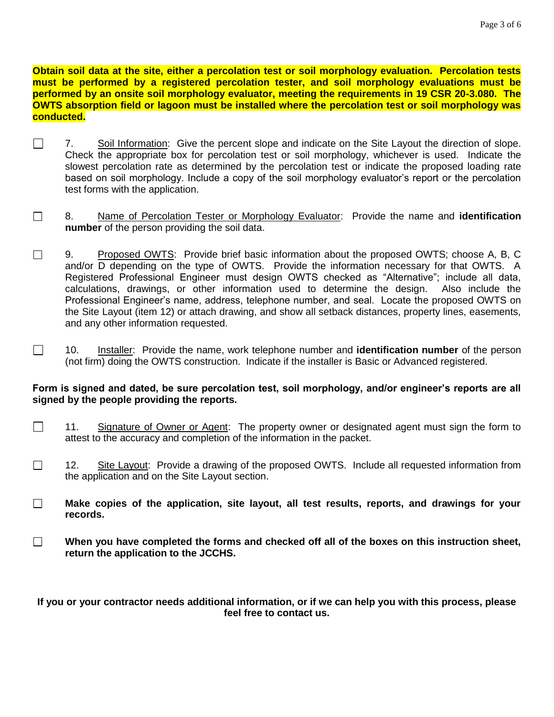**Obtain soil data at the site, either a percolation test or soil morphology evaluation. Percolation tests must be performed by a registered percolation tester, and soil morphology evaluations must be performed by an onsite soil morphology evaluator, meeting the requirements in 19 CSR 20-3.080. The OWTS absorption field or lagoon must be installed where the percolation test or soil morphology was conducted.**

- $\Box$ 7. Soil Information: Give the percent slope and indicate on the Site Layout the direction of slope. Check the appropriate box for percolation test or soil morphology, whichever is used. Indicate the slowest percolation rate as determined by the percolation test or indicate the proposed loading rate based on soil morphology. Include a copy of the soil morphology evaluator's report or the percolation test forms with the application.
- $\Box$ 8. Name of Percolation Tester or Morphology Evaluator: Provide the name and **identification number** of the person providing the soil data.
- $\Box$ 9. Proposed OWTS: Provide brief basic information about the proposed OWTS; choose A, B, C and/or D depending on the type of OWTS. Provide the information necessary for that OWTS. A Registered Professional Engineer must design OWTS checked as "Alternative"; include all data, calculations, drawings, or other information used to determine the design. Also include the Professional Engineer's name, address, telephone number, and seal. Locate the proposed OWTS on the Site Layout (item 12) or attach drawing, and show all setback distances, property lines, easements, and any other information requested.
- $\Box$ 10. Installer: Provide the name, work telephone number and **identification number** of the person (not firm) doing the OWTS construction. Indicate if the installer is Basic or Advanced registered.

#### **Form is signed and dated, be sure percolation test, soil morphology, and/or engineer's reports are all signed by the people providing the reports.**

- $\Box$ 11. Signature of Owner or Agent: The property owner or designated agent must sign the form to attest to the accuracy and completion of the information in the packet.
- $\Box$ 12. Site Layout: Provide a drawing of the proposed OWTS. Include all requested information from the application and on the Site Layout section.
- $\Box$ **Make copies of the application, site layout, all test results, reports, and drawings for your records.**
- $\Box$ **When you have completed the forms and checked off all of the boxes on this instruction sheet, return the application to the JCCHS.**

**If you or your contractor needs additional information, or if we can help you with this process, please feel free to contact us.**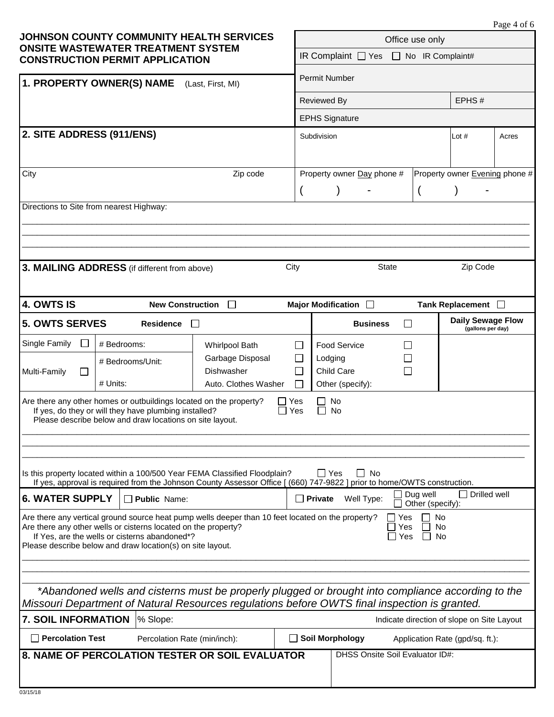| Page 4 of 6 |  |  |  |
|-------------|--|--|--|
|-------------|--|--|--|

| <b>JOHNSON COUNTY COMMUNITY HEALTH SERVICES</b><br><b>ONSITE WASTEWATER TREATMENT SYSTEM</b><br><b>CONSTRUCTION PERMIT APPLICATION</b>                                                                                                                                                                                                                                                                                         |                                                 |                                                        | Office use only                              |                                                           |                                |                                               |  |  |
|--------------------------------------------------------------------------------------------------------------------------------------------------------------------------------------------------------------------------------------------------------------------------------------------------------------------------------------------------------------------------------------------------------------------------------|-------------------------------------------------|--------------------------------------------------------|----------------------------------------------|-----------------------------------------------------------|--------------------------------|-----------------------------------------------|--|--|
|                                                                                                                                                                                                                                                                                                                                                                                                                                |                                                 |                                                        | IR Complaint □ Yes □ No IR Complaint#        |                                                           |                                |                                               |  |  |
| 1. PROPERTY OWNER(S) NAME<br>(Last, First, MI)                                                                                                                                                                                                                                                                                                                                                                                 |                                                 |                                                        |                                              | <b>Permit Number</b>                                      |                                |                                               |  |  |
|                                                                                                                                                                                                                                                                                                                                                                                                                                |                                                 |                                                        |                                              | Reviewed By                                               |                                | EPHS#                                         |  |  |
|                                                                                                                                                                                                                                                                                                                                                                                                                                |                                                 |                                                        |                                              | <b>EPHS Signature</b>                                     |                                |                                               |  |  |
| 2. SITE ADDRESS (911/ENS)                                                                                                                                                                                                                                                                                                                                                                                                      |                                                 |                                                        | Subdivision                                  |                                                           | Lot $#$                        | Acres                                         |  |  |
| City                                                                                                                                                                                                                                                                                                                                                                                                                           |                                                 | Zip code                                               | Property owner Day phone #<br>$\overline{(}$ |                                                           | Property owner Evening phone # |                                               |  |  |
| Directions to Site from nearest Highway:                                                                                                                                                                                                                                                                                                                                                                                       |                                                 |                                                        |                                              |                                                           |                                |                                               |  |  |
|                                                                                                                                                                                                                                                                                                                                                                                                                                | 3. MAILING ADDRESS (if different from above)    |                                                        | City                                         | <b>State</b>                                              |                                | Zip Code                                      |  |  |
| 4. OWTS IS                                                                                                                                                                                                                                                                                                                                                                                                                     | <b>New Construction</b>                         | $\perp$                                                |                                              | Major Modification <b>D</b>                               |                                | Tank Replacement □                            |  |  |
| <b>5. OWTS SERVES</b>                                                                                                                                                                                                                                                                                                                                                                                                          | <b>Residence</b>                                | $\Box$                                                 |                                              | <b>Business</b>                                           | $\perp$                        | <b>Daily Sewage Flow</b><br>(gallons per day) |  |  |
| Single Family                                                                                                                                                                                                                                                                                                                                                                                                                  | # Bedrooms:                                     | <b>Whirlpool Bath</b>                                  | П                                            | Food Service                                              |                                |                                               |  |  |
| Multi-Family                                                                                                                                                                                                                                                                                                                                                                                                                   | # Bedrooms/Unit:<br># Units:                    | Garbage Disposal<br>Dishwasher<br>Auto. Clothes Washer | $\Box$                                       | Lodging<br>Child Care<br>Other (specify):                 |                                |                                               |  |  |
| Are there any other homes or outbuildings located on the property?<br>No<br>Yes<br>If yes, do they or will they have plumbing installed?<br>$\Box$ Yes<br><b>No</b><br>Please describe below and draw locations on site layout.                                                                                                                                                                                                |                                                 |                                                        |                                              |                                                           |                                |                                               |  |  |
| Is this property located within a 100/500 Year FEMA Classified Floodplain?<br>$\Box$ Yes<br>No<br>$\blacksquare$<br>If yes, approval is required from the Johnson County Assessor Office [ (660) 747-9822 ] prior to home/OWTS construction.<br>Drilled well<br>Dug well                                                                                                                                                       |                                                 |                                                        |                                              |                                                           |                                |                                               |  |  |
| <b>6. WATER SUPPLY</b><br>$\Box$ Public Name:<br>$\Box$ Private<br>Well Type:<br>Other (specify):<br>Are there any vertical ground source heat pump wells deeper than 10 feet located on the property?<br>No<br>Yes<br>Are there any other wells or cisterns located on the property?<br>Yes<br>No<br>If Yes, are the wells or cisterns abandoned*?<br>Yes<br>No<br>Please describe below and draw location(s) on site layout. |                                                 |                                                        |                                              |                                                           |                                |                                               |  |  |
| *Abandoned wells and cisterns must be properly plugged or brought into compliance according to the<br>Missouri Department of Natural Resources regulations before OWTS final inspection is granted.<br><b>7. SOIL INFORMATION</b><br>% Slope:<br>Indicate direction of slope on Site Layout                                                                                                                                    |                                                 |                                                        |                                              |                                                           |                                |                                               |  |  |
| <b>Percolation Test</b>                                                                                                                                                                                                                                                                                                                                                                                                        | Percolation Rate (min/inch):                    |                                                        |                                              | <b>Soil Morphology</b><br>Application Rate (gpd/sq. ft.): |                                |                                               |  |  |
|                                                                                                                                                                                                                                                                                                                                                                                                                                | 8. NAME OF PERCOLATION TESTER OR SOIL EVALUATOR |                                                        |                                              | DHSS Onsite Soil Evaluator ID#:                           |                                |                                               |  |  |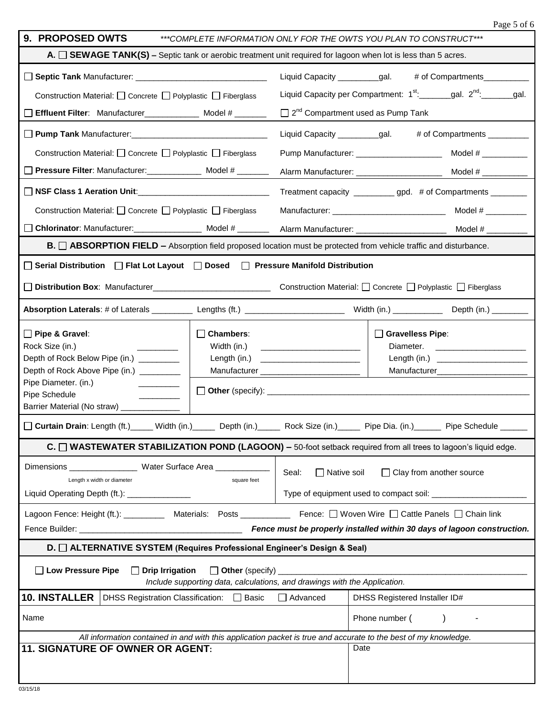|                                                                                                                                                                                                                 |                                 |                                                                                          | Page 5 of 6                                                               |  |  |  |
|-----------------------------------------------------------------------------------------------------------------------------------------------------------------------------------------------------------------|---------------------------------|------------------------------------------------------------------------------------------|---------------------------------------------------------------------------|--|--|--|
| 9. PROPOSED OWTS                                                                                                                                                                                                |                                 |                                                                                          | ***COMPLETE INFORMATION ONLY FOR THE OWTS YOU PLAN TO CONSTRUCT***        |  |  |  |
| A. $\Box$ SEWAGE TANK(S) – Septic tank or aerobic treatment unit required for lagoon when lot is less than 5 acres.                                                                                             |                                 |                                                                                          |                                                                           |  |  |  |
|                                                                                                                                                                                                                 |                                 | Liquid Capacity __________gal.<br># of Compartments___________                           |                                                                           |  |  |  |
| Construction Material: □ Concrete □ Polyplastic □ Fiberglass                                                                                                                                                    |                                 | Liquid Capacity per Compartment: 1 <sup>st</sup> :______gal. 2 <sup>nd</sup> :______gal. |                                                                           |  |  |  |
| Effluent Filter: Manufacturer______________ Model # _______                                                                                                                                                     |                                 | $\Box$ 2 <sup>nd</sup> Compartment used as Pump Tank                                     |                                                                           |  |  |  |
| D Pump Tank Manufacturer: 1990 1990 1991 1992 1994                                                                                                                                                              |                                 | Liquid Capacity __________gal.<br># of Compartments _________                            |                                                                           |  |  |  |
| Construction Material: □ Concrete □ Polyplastic □ Fiberglass                                                                                                                                                    |                                 |                                                                                          |                                                                           |  |  |  |
| □ Pressure Filter: Manufacturer: ______________ Model # _______                                                                                                                                                 |                                 |                                                                                          |                                                                           |  |  |  |
| □ NSF Class 1 Aeration Unit: _________________________________                                                                                                                                                  |                                 | Treatment capacity ___________ gpd. # of Compartments ________                           |                                                                           |  |  |  |
| Construction Material: $\Box$ Concrete $\Box$ Polyplastic $\Box$ Fiberglass                                                                                                                                     |                                 |                                                                                          | Model # $\frac{1}{2}$                                                     |  |  |  |
| □ Chlorinator: Manufacturer: Molel # ___________ Alarm Manufacturer: _____________________ Model # ___________                                                                                                  |                                 |                                                                                          |                                                                           |  |  |  |
| B. <u>ABSORPTION FIELD</u> - Absorption field proposed location must be protected from vehicle traffic and disturbance.                                                                                         |                                 |                                                                                          |                                                                           |  |  |  |
| □ Serial Distribution □ Flat Lot Layout □ Dosed □ Pressure Manifold Distribution                                                                                                                                |                                 |                                                                                          |                                                                           |  |  |  |
| Distribution Box: Manufacturer                                                                                                                                                                                  |                                 | Construction Material: □ Concrete □ Polyplastic □ Fiberglass                             |                                                                           |  |  |  |
|                                                                                                                                                                                                                 |                                 |                                                                                          |                                                                           |  |  |  |
| Pipe & Gravel:<br>Rock Size (in.)<br>Depth of Rock Below Pipe (in.) _________<br>Depth of Rock Above Pipe (in.) _________<br>Pipe Diameter. (in.)<br>Pipe Schedule<br>Barrier Material (No straw) _____________ | $\Box$ Chambers:<br>Width (in.) | Length (in.) __________________________                                                  | $\Box$ Gravelless Pipe:<br>Diameter.<br>Manufacturer_____________________ |  |  |  |
| Curtain Drain: Length (ft.)_____ Width (in.)_____ Depth (in.)_____ Rock Size (in.)_____ Pipe Dia. (in.)_____ Pipe Schedule __                                                                                   |                                 |                                                                                          |                                                                           |  |  |  |
| C. □ WASTEWATER STABILIZATION POND (LAGOON) – 50-foot setback required from all trees to lagoon's liquid edge.                                                                                                  |                                 |                                                                                          |                                                                           |  |  |  |
| Length x width or diameter<br>square feet<br>Liquid Operating Depth (ft.): ______________                                                                                                                       |                                 | Seal:<br>$\Box$ Native soil<br>$\Box$ Clay from another source                           |                                                                           |  |  |  |
| Lagoon Fence: Height (ft.): __________ Materials: Posts ___________ Fence: □ Woven Wire □ Cattle Panels □ Chain link                                                                                            |                                 |                                                                                          |                                                                           |  |  |  |
|                                                                                                                                                                                                                 |                                 |                                                                                          |                                                                           |  |  |  |
| D. [Call TERNATIVE SYSTEM (Requires Professional Engineer's Design & Seal)                                                                                                                                      |                                 |                                                                                          |                                                                           |  |  |  |
| □ Low Pressure Pipe<br>$\Box$ Drip Irrigation<br>Include supporting data, calculations, and drawings with the Application.                                                                                      |                                 |                                                                                          |                                                                           |  |  |  |
| 10. INSTALLER  <br>DHSS Registration Classification: □ Basic                                                                                                                                                    |                                 | $\Box$ Advanced                                                                          | DHSS Registered Installer ID#                                             |  |  |  |
|                                                                                                                                                                                                                 |                                 |                                                                                          |                                                                           |  |  |  |
| Name                                                                                                                                                                                                            |                                 |                                                                                          | Phone number (                                                            |  |  |  |
| All information contained in and with this application packet is true and accurate to the best of my knowledge.                                                                                                 |                                 |                                                                                          |                                                                           |  |  |  |
| 11. SIGNATURE OF OWNER OR AGENT:                                                                                                                                                                                |                                 |                                                                                          | Date                                                                      |  |  |  |